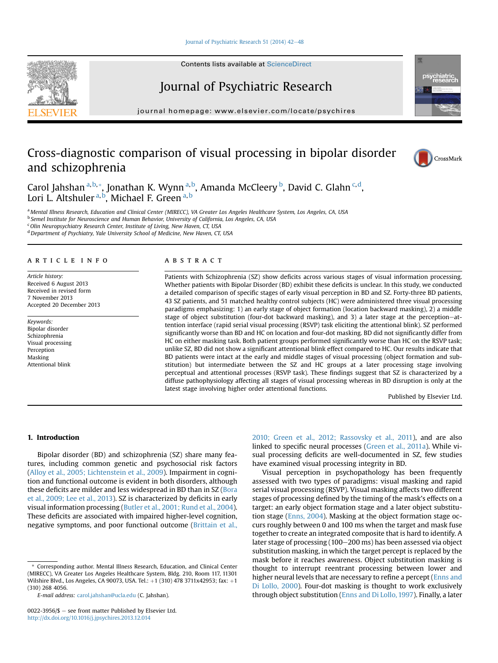#### Journal of Psychiatric Research 51 (2014)  $42-48$  $42-48$

Contents lists available at ScienceDirect

# Journal of Psychiatric Research

 $j<sub>i</sub>$  and the page: which is the company companies of  $p$ 

# Cross-diagnostic comparison of visual processing in bipolar disorder and schizophrenia

Carol Jahshan <sup>a, b,</sup>\*, Jonathan K. Wynn <sup>a, b</sup>, Amanda McCleery <sup>b</sup>, David C. Glahn <sup>c, d</sup>, Lori L. Altshuler <sup>a, b</sup>, Michael F. Green <sup>a, b</sup>

a Mental Illness Research, Education and Clinical Center (MIRECC), VA Greater Los Angeles Healthcare System, Los Angeles, CA, USA <sup>b</sup> Semel Institute for Neuroscience and Human Behavior, University of California, Los Angeles, CA, USA  $c$ Olin Neuropsychiatry Research Center, Institute of Living, New Haven, CT, USA

<sup>d</sup> Department of Psychiatry, Yale University School of Medicine, New Haven, CT, USA

# article info

Article history: Received 6 August 2013 Received in revised form 7 November 2013 Accepted 20 December 2013

Keywords: Bipolar disorder Schizophrenia Visual processing Perception Masking Attentional blink

#### **ABSTRACT**

Patients with Schizophrenia (SZ) show deficits across various stages of visual information processing. Whether patients with Bipolar Disorder (BD) exhibit these deficits is unclear. In this study, we conducted a detailed comparison of specific stages of early visual perception in BD and SZ. Forty-three BD patients, 43 SZ patients, and 51 matched healthy control subjects (HC) were administered three visual processing paradigms emphasizing: 1) an early stage of object formation (location backward masking), 2) a middle stage of object substitution (four-dot backward masking), and 3) a later stage at the perception-attention interface (rapid serial visual processing (RSVP) task eliciting the attentional blink). SZ performed significantly worse than BD and HC on location and four-dot masking. BD did not significantly differ from HC on either masking task. Both patient groups performed significantly worse than HC on the RSVP task; unlike SZ, BD did not show a significant attentional blink effect compared to HC. Our results indicate that BD patients were intact at the early and middle stages of visual processing (object formation and substitution) but intermediate between the SZ and HC groups at a later processing stage involving perceptual and attentional processes (RSVP task). These findings suggest that SZ is characterized by a diffuse pathophysiology affecting all stages of visual processing whereas in BD disruption is only at the latest stage involving higher order attentional functions.

Published by Elsevier Ltd.

## 1. Introduction

Bipolar disorder (BD) and schizophrenia (SZ) share many features, including common genetic and psychosocial risk factors ([Alloy et al., 2005; Lichtenstein et al., 2009](#page-6-0)). Impairment in cognition and functional outcome is evident in both disorders, although these deficits are milder and less widespread in BD than in SZ ([Bora](#page-6-0) [et al., 2009; Lee et al., 2013\)](#page-6-0). SZ is characterized by deficits in early visual information processing ([Butler et al., 2001; Rund et al., 2004\)](#page-6-0). These deficits are associated with impaired higher-level cognition, negative symptoms, and poor functional outcome [\(Brittain et al.,](#page-6-0)

E-mail address: [carol.jahshan@ucla.edu](mailto:carol.jahshan@ucla.edu) (C. Jahshan).

[2010; Green et al., 2012; Rassovsky et al., 2011\)](#page-6-0), and are also linked to specific neural processes [\(Green et al., 2011a](#page-6-0)). While visual processing deficits are well-documented in SZ, few studies have examined visual processing integrity in BD.

Visual perception in psychopathology has been frequently assessed with two types of paradigms: visual masking and rapid serial visual processing (RSVP). Visual masking affects two different stages of processing defined by the timing of the mask's effects on a target: an early object formation stage and a later object substitution stage ([Enns, 2004\)](#page-6-0). Masking at the object formation stage occurs roughly between 0 and 100 ms when the target and mask fuse together to create an integrated composite that is hard to identify. A later stage of processing (100-200 ms) has been assessed via object substitution masking, in which the target percept is replaced by the mask before it reaches awareness. Object substitution masking is thought to interrupt reentrant processing between lower and higher neural levels that are necessary to refine a percept ([Enns and](#page-6-0) [Di Lollo, 2000](#page-6-0)). Four-dot masking is thought to work exclusively through object substitution ([Enns and Di Lollo, 1997\)](#page-6-0). Finally, a later







<sup>\*</sup> Corresponding author. Mental Illness Research, Education, and Clinical Center (MIRECC), VA Greater Los Angeles Healthcare System, Bldg. 210, Room 117, 11301 Wilshire Blvd., Los Angeles, CA 90073, USA. Tel.: +1 (310) 478 3711x42953; fax: +1 (310) 268 4056.

 $0022 - 3956$ /\$ – see front matter Published by Elsevier Ltd. <http://dx.doi.org/10.1016/j.jpsychires.2013.12.014>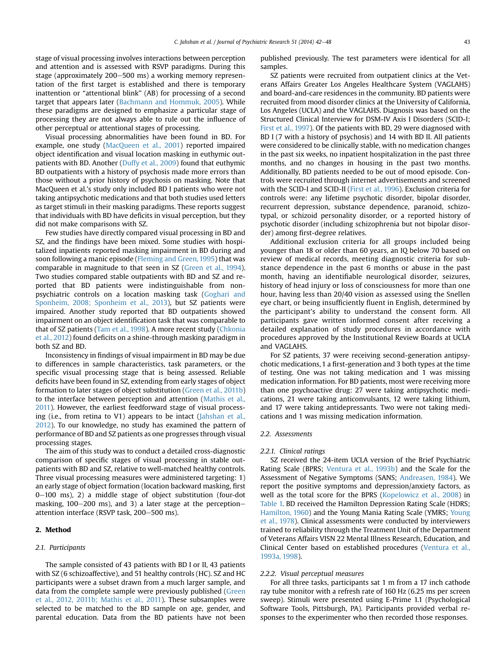stage of visual processing involves interactions between perception and attention and is assessed with RSVP paradigms. During this stage (approximately 200-500 ms) a working memory representation of the first target is established and there is temporary inattention or "attentional blink" (AB) for processing of a second target that appears later ([Bachmann and Hommuk, 2005\)](#page-6-0). While these paradigms are designed to emphasize a particular stage of processing they are not always able to rule out the influence of other perceptual or attentional stages of processing.

Visual processing abnormalities have been found in BD. For example, one study ([MacQueen et al., 2001\)](#page-6-0) reported impaired object identification and visual location masking in euthymic outpatients with BD. Another [\(Duffy et al., 2009\)](#page-6-0) found that euthymic BD outpatients with a history of psychosis made more errors than those without a prior history of psychosis on masking. Note that MacQueen et al.'s study only included BD I patients who were not taking antipsychotic medications and that both studies used letters as target stimuli in their masking paradigms. These reports suggest that individuals with BD have deficits in visual perception, but they did not make comparisons with SZ.

Few studies have directly compared visual processing in BD and SZ, and the findings have been mixed. Some studies with hospitalized inpatients reported masking impairment in BD during and soon following a manic episode ([Fleming and Green, 1995\)](#page-6-0) that was comparable in magnitude to that seen in SZ ([Green et al., 1994\)](#page-6-0). Two studies compared stable outpatients with BD and SZ and reported that BD patients were indistinguishable from nonpsychiatric controls on a location masking task [\(Goghari and](#page-6-0) [Sponheim, 2008; Sponheim et al., 2013](#page-6-0)), but SZ patients were impaired. Another study reported that BD outpatients showed impairment on an object identification task that was comparable to that of SZ patients [\(Tam et al., 1998](#page-6-0)). A more recent study ([Chkonia](#page-6-0) [et al., 2012](#page-6-0)) found deficits on a shine-through masking paradigm in both SZ and BD.

Inconsistency in findings of visual impairment in BD may be due to differences in sample characteristics, task parameters, or the specific visual processing stage that is being assessed. Reliable deficits have been found in SZ, extending from early stages of object formation to later stages of object substitution [\(Green et al., 2011b\)](#page-6-0) to the interface between perception and attention [\(Mathis et al.,](#page-6-0) [2011](#page-6-0)). However, the earliest feedforward stage of visual processing (i.e., from retina to V1) appears to be intact ([Jahshan et al.,](#page-6-0) [2012\)](#page-6-0). To our knowledge, no study has examined the pattern of performance of BD and SZ patients as one progresses through visual processing stages.

The aim of this study was to conduct a detailed cross-diagnostic comparison of specific stages of visual processing in stable outpatients with BD and SZ, relative to well-matched healthy controls. Three visual processing measures were administered targeting: 1) an early stage of object formation (location backward masking, first  $0-100$  ms), 2) a middle stage of object substitution (four-dot masking,  $100-200$  ms), and 3) a later stage at the perceptionattention interface (RSVP task, 200-500 ms).

## 2. Method

## 2.1. Participants

The sample consisted of 43 patients with BD I or II, 43 patients with SZ (6 schizoaffective), and 51 healthy controls (HC). SZ and HC participants were a subset drawn from a much larger sample, and data from the complete sample were previously published ([Green](#page-6-0) [et al., 2012, 2011b; Mathis et al., 2011](#page-6-0)). These subsamples were selected to be matched to the BD sample on age, gender, and parental education. Data from the BD patients have not been published previously. The test parameters were identical for all samples.

SZ patients were recruited from outpatient clinics at the Veterans Affairs Greater Los Angeles Healthcare System (VAGLAHS) and board-and-care residences in the community. BD patients were recruited from mood disorder clinics at the University of California, Los Angeles (UCLA) and the VAGLAHS. Diagnosis was based on the Structured Clinical Interview for DSM-IV Axis I Disorders (SCID-I; [First et al., 1997](#page-6-0)). Of the patients with BD, 29 were diagnosed with BD I (7 with a history of psychosis) and 14 with BD II. All patients were considered to be clinically stable, with no medication changes in the past six weeks, no inpatient hospitalization in the past three months, and no changes in housing in the past two months. Additionally, BD patients needed to be out of mood episode. Controls were recruited through internet advertisements and screened with the SCID-I and SCID-II ([First et al., 1996\)](#page-6-0). Exclusion criteria for controls were: any lifetime psychotic disorder, bipolar disorder, recurrent depression, substance dependence, paranoid, schizotypal, or schizoid personality disorder, or a reported history of psychotic disorder (including schizophrenia but not bipolar disorder) among first-degree relatives.

Additional exclusion criteria for all groups included being younger than 18 or older than 60 years, an IQ below 70 based on review of medical records, meeting diagnostic criteria for substance dependence in the past 6 months or abuse in the past month, having an identifiable neurological disorder, seizures, history of head injury or loss of consciousness for more than one hour, having less than 20/40 vision as assessed using the Snellen eye chart, or being insufficiently fluent in English, determined by the participant's ability to understand the consent form. All participants gave written informed consent after receiving a detailed explanation of study procedures in accordance with procedures approved by the Institutional Review Boards at UCLA and VAGLAHS.

For SZ patients, 37 were receiving second-generation antipsychotic medications, 1 a first-generation and 3 both types at the time of testing. One was not taking medication and 1 was missing medication information. For BD patients, most were receiving more than one psychoactive drug: 27 were taking antipsychotic medications, 21 were taking anticonvulsants, 12 were taking lithium, and 17 were taking antidepressants. Two were not taking medications and 1 was missing medication information.

#### 2.2. Assessments

#### 2.2.1. Clinical ratings

SZ received the 24-item UCLA version of the Brief Psychiatric Rating Scale (BPRS; [Ventura et al., 1993b](#page-6-0)) and the Scale for the Assessment of Negative Symptoms (SANS; [Andreasen, 1984\)](#page-6-0). We report the positive symptoms and depression/anxiety factors, as well as the total score for the BPRS ([Kopelowicz et al., 2008\)](#page-6-0) in [Table 1.](#page-2-0) BD received the Hamilton Depression Rating Scale (HDRS; [Hamilton, 1960](#page-6-0)) and the Young Mania Rating Scale (YMRS; [Young](#page-6-0) [et al., 1978](#page-6-0)). Clinical assessments were conducted by interviewers trained to reliability through the Treatment Unit of the Department of Veterans Affairs VISN 22 Mental Illness Research, Education, and Clinical Center based on established procedures ([Ventura et al.,](#page-6-0) [1993a, 1998](#page-6-0)).

#### 2.2.2. Visual perceptual measures

For all three tasks, participants sat 1 m from a 17 inch cathode ray tube monitor with a refresh rate of 160 Hz (6.25 ms per screen sweep). Stimuli were presented using E-Prime 1.1 (Psychological Software Tools, Pittsburgh, PA). Participants provided verbal responses to the experimenter who then recorded those responses.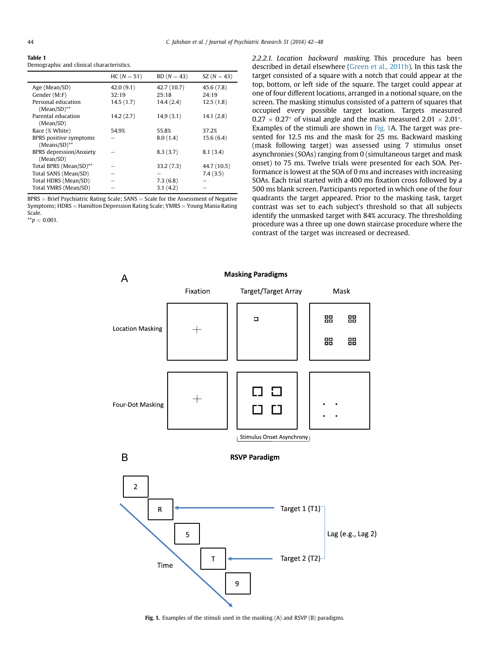<span id="page-2-0"></span>

| . .<br>٠<br>٧ |  |
|---------------|--|
|               |  |

Demographic and clinical characteristics.

|                                             | $HC (N = 51)$ | $BD(N = 43)$ | $SZ (N = 43)$ |
|---------------------------------------------|---------------|--------------|---------------|
| Age (Mean/SD)                               | 42.0(9.1)     | 42.7 (10.7)  | 45.6(7.8)     |
| Gender (M:F)                                | 32:19         | 25:18        | 24:19         |
| Personal education<br>$(Mean/SD)$ **        | 14.5(1.7)     | 14.4(2.4)    | 12.5(1.8)     |
| Parental education<br>(Mean/SD)             | 14.2(2.7)     | 14.9(3.1)    | 14.1(2.8)     |
| Race (% White)                              | 54.9%         | 55.8%        | 37.2%         |
| BPRS positive symptoms<br>$(Means/SD)$ **   |               | 8.0(1.4)     | 15.6(6.4)     |
| <b>BPRS</b> depression/Anxiety<br>(Mean/SD) |               | 8.3(3.7)     | 8.1(3.4)      |
| Total BPRS (Mean/SD)**                      |               | 33.2(7.3)    | 44.7 (10.5)   |
| Total SANS (Mean/SD)                        |               |              | 7.4(3.5)      |
| Total HDRS (Mean/SD)                        |               | 7.3(6.8)     |               |
| Total YMRS (Mean/SD)                        |               | 3.1(4.2)     |               |

 $BPRS =$  Brief Psychiatric Rating Scale; SANS  $=$  Scale for the Assessment of Negative Symptoms;  $HDRS =$  Hamilton Depression Rating Scale; YMRS = Young Mania Rating Scale.

 $^{**}p < 0.001$ .

2.2.2.1. Location backward masking. This procedure has been described in detail elsewhere [\(Green et al., 2011b\)](#page-6-0). In this task the target consisted of a square with a notch that could appear at the top, bottom, or left side of the square. The target could appear at one of four different locations, arranged in a notional square, on the screen. The masking stimulus consisted of a pattern of squares that occupied every possible target location. Targets measured  $0.27 \times 0.27^{\circ}$  of visual angle and the mask measured 2.01  $\times$  2.01 $^{\circ}$ . Examples of the stimuli are shown in Fig. 1A. The target was presented for 12.5 ms and the mask for 25 ms. Backward masking (mask following target) was assessed using 7 stimulus onset asynchronies (SOAs) ranging from 0 (simultaneous target and mask onset) to 75 ms. Twelve trials were presented for each SOA. Performance is lowest at the SOA of 0 ms and increases with increasing SOAs. Each trial started with a 400 ms fixation cross followed by a 500 ms blank screen. Participants reported in which one of the four quadrants the target appeared. Prior to the masking task, target contrast was set to each subject's threshold so that all subjects identify the unmasked target with 84% accuracy. The thresholding procedure was a three up one down staircase procedure where the contrast of the target was increased or decreased.



Fig. 1. Examples of the stimuli used in the masking (A) and RSVP (B) paradigms.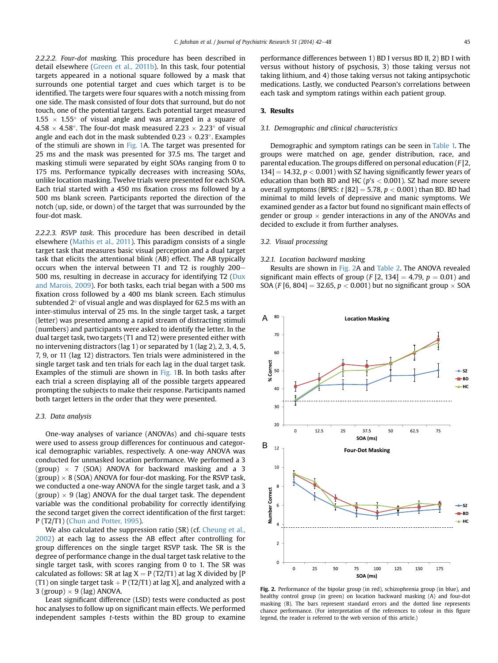<span id="page-3-0"></span>2.2.2.2. Four-dot masking. This procedure has been described in detail elsewhere ([Green et al., 2011b](#page-6-0)). In this task, four potential targets appeared in a notional square followed by a mask that surrounds one potential target and cues which target is to be identified. The targets were four squares with a notch missing from one side. The mask consisted of four dots that surround, but do not touch, one of the potential targets. Each potential target measured  $1.55 \times 1.55^{\circ}$  of visual angle and was arranged in a square of  $4.58 \times 4.58^{\circ}$ . The four-dot mask measured 2.23  $\times$  2.23 $^{\circ}$  of visual angle and each dot in the mask subtended  $0.23 \times 0.23^{\circ}$ . Examples of the stimuli are shown in [Fig. 1A](#page-2-0). The target was presented for 25 ms and the mask was presented for 37.5 ms. The target and masking stimuli were separated by eight SOAs ranging from 0 to 175 ms. Performance typically decreases with increasing SOAs, unlike location masking. Twelve trials were presented for each SOA. Each trial started with a 450 ms fixation cross ms followed by a 500 ms blank screen. Participants reported the direction of the notch (up, side, or down) of the target that was surrounded by the four-dot mask.

2.2.2.3. RSVP task. This procedure has been described in detail elsewhere ([Mathis et al., 2011\)](#page-6-0). This paradigm consists of a single target task that measures basic visual perception and a dual target task that elicits the attentional blink (AB) effect. The AB typically occurs when the interval between T1 and T2 is roughly  $200-$ 500 ms, resulting in decrease in accuracy for identifying T2 [\(Dux](#page-6-0) [and Marois, 2009\)](#page-6-0). For both tasks, each trial began with a 500 ms fixation cross followed by a 400 ms blank screen. Each stimulus subtended  $2^{\circ}$  of visual angle and was displayed for 62.5 ms with an inter-stimulus interval of 25 ms. In the single target task, a target (letter) was presented among a rapid stream of distracting stimuli (numbers) and participants were asked to identify the letter. In the dual target task, two targets (T1 and T2) were presented either with no intervening distractors (lag 1) or separated by 1 (lag 2), 2, 3, 4, 5, 7, 9, or 11 (lag 12) distractors. Ten trials were administered in the single target task and ten trials for each lag in the dual target task. Examples of the stimuli are shown in [Fig. 1](#page-2-0)B. In both tasks after each trial a screen displaying all of the possible targets appeared prompting the subjects to make their response. Participants named both target letters in the order that they were presented.

#### 2.3. Data analysis

One-way analyses of variance (ANOVAs) and chi-square tests were used to assess group differences for continuous and categorical demographic variables, respectively. A one-way ANOVA was conducted for unmasked location performance. We performed a 3 (group)  $\times$  7 (SOA) ANOVA for backward masking and a 3  $(\text{group}) \times 8$  (SOA) ANOVA for four-dot masking. For the RSVP task, we conducted a one-way ANOVA for the single target task, and a 3  $\left( \text{group} \right) \times 9 \left( \text{lag} \right)$  ANOVA for the dual target task. The dependent variable was the conditional probability for correctly identifying the second target given the correct identification of the first target: P (T2/T1) ([Chun and Potter, 1995](#page-6-0)).

We also calculated the suppression ratio (SR) (cf. [Cheung et al.,](#page-6-0) [2002\)](#page-6-0) at each lag to assess the AB effect after controlling for group differences on the single target RSVP task. The SR is the degree of performance change in the dual target task relative to the single target task, with scores ranging from 0 to 1. The SR was calculated as follows: SR at lag  $X = P(T2/T1)$  at lag X divided by [P (T1) on single target task  $+ P(T2/T1)$  at lag X], and analyzed with a  $3 \text{ (group)} \times 9 \text{ (lag)}$  ANOVA.

Least significant difference (LSD) tests were conducted as post hoc analyses to follow up on significant main effects. We performed independent samples t-tests within the BD group to examine performance differences between 1) BD I versus BD II, 2) BD I with versus without history of psychosis, 3) those taking versus not taking lithium, and 4) those taking versus not taking antipsychotic medications. Lastly, we conducted Pearson's correlations between each task and symptom ratings within each patient group.

# 3. Results

#### 3.1. Demographic and clinical characteristics

Demographic and symptom ratings can be seen in [Table 1.](#page-2-0) The groups were matched on age, gender distribution, race, and parental education. The groups differed on personal education (F [2,  $134$  = 14.32,  $p < 0.001$ ) with SZ having significantly fewer years of education than both BD and HC ( $p's < 0.001$ ). SZ had more severe overall symptoms (BPRS:  $t$  [82] = 5.78,  $p < 0.001$ ) than BD. BD had minimal to mild levels of depressive and manic symptoms. We examined gender as a factor but found no significant main effects of gender or group  $\times$  gender interactions in any of the ANOVAs and decided to exclude it from further analyses.

#### 3.2. Visual processing

## 3.2.1. Location backward masking

Results are shown in Fig. 2A and [Table 2](#page-4-0). The ANOVA revealed significant main effects of group (F [2, 134] = 4.79,  $p = 0.01$ ) and SOA (F [6, 804] = 32.65,  $p < 0.001$ ) but no significant group  $\times$  SOA



Fig. 2. Performance of the bipolar group (in red), schizophrenia group (in blue), and healthy control group (in green) on location backward masking (A) and four-dot masking (B). The bars represent standard errors and the dotted line represents chance performance. (For interpretation of the references to colour in this figure legend, the reader is referred to the web version of this article.)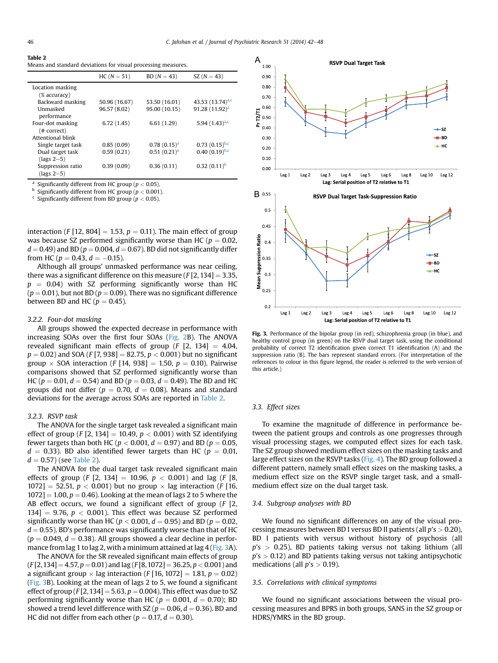#### <span id="page-4-0"></span>Table 2

Means and standard deviations for visual processing measures.

|                                         | $HC (N = 51)$ | $BD(N = 43)$     | SZ $(N = 43)$         |
|-----------------------------------------|---------------|------------------|-----------------------|
| Location masking                        |               |                  |                       |
| $(% \mathcal{L}_{\alpha})$ (% accuracy) |               |                  |                       |
| Backward masking                        | 50.96 (16.67) | 53.50 (16.01)    | 43.53 $(13.74)^{a,c}$ |
| Unmasked                                | 96.57 (8.02)  | 95.00 (10.15)    | $91.28(11.92)^{a}$    |
| performance                             |               |                  |                       |
| Four-dot masking                        | 6.72(1.45)    | 6.61(1.29)       | 5.94 $(1.43)^{a,c}$   |
| (# correct)                             |               |                  |                       |
| Attentional blink                       |               |                  |                       |
| Single target task                      | 0.85(0.09)    | $0.78(0.15)^{a}$ | $0.73(0.15)^{b,c}$    |
| Dual target task                        | 0.59(0.21)    | $0.51(0.21)^{a}$ | $0.40(0.19)^{b,c}$    |
| $(\text{lags }2-5)$                     |               |                  |                       |
| Suppression ratio                       | 0.39(0.09)    | 0.36(0.11)       | $0.32(0.11)^b$        |
| $(\text{lags }2-5)$                     |               |                  |                       |

<sup>a</sup> Significantly different from HC group ( $p < 0.05$ ).

<sup>b</sup> Significantly different from HC group ( $p < 0.001$ ).

 $c$  Significantly different from BD group ( $p < 0.05$ ).

interaction (F [12, 804] = 1.53,  $p = 0.11$ ). The main effect of group was because SZ performed significantly worse than HC ( $p = 0.02$ ,  $d = 0.49$ ) and BD ( $p = 0.004$ ,  $d = 0.67$ ). BD did not significantly differ from HC ( $p = 0.43$ ,  $d = -0.15$ ).

Although all groups' unmasked performance was near ceiling, there was a significant difference on this measure  $(F[2, 134] = 3.35,$  $p = 0.04$ ) with SZ performing significantly worse than HC  $(p = 0.01)$ , but not BD ( $p = 0.09$ ). There was no significant difference between BD and HC ( $p = 0.45$ ).

#### 3.2.2. Four-dot masking

All groups showed the expected decrease in performance with increasing SOAs over the first four SOAs ([Fig. 2B](#page-3-0)). The ANOVA revealed significant main effects of group  $(F [2, 134] = 4.04,$  $p = 0.02$ ) and SOA (F [7, 938] = 82.75,  $p < 0.001$ ) but no significant group  $\times$  SOA interaction (F [14, 938] = 1.50,  $p = 0.10$ ). Pairwise comparisons showed that SZ performed significantly worse than HC ( $p = 0.01$ ,  $d = 0.54$ ) and BD ( $p = 0.03$ ,  $d = 0.49$ ). The BD and HC groups did not differ ( $p = 0.70$ ,  $d = 0.08$ ). Means and standard deviations for the average across SOAs are reported in Table 2.

#### 3.2.3. RSVP task

The ANOVA for the single target task revealed a significant main effect of group (F [2, 134] = 10.49,  $p < 0.001$ ) with SZ identifying fewer targets than both HC ( $p < 0.001$ ,  $d = 0.97$ ) and BD ( $p = 0.05$ ,  $d = 0.33$ ). BD also identified fewer targets than HC ( $p = 0.01$ ,  $d = 0.57$ ) (see Table 2).

The ANOVA for the dual target task revealed significant main effects of group (F [2, 134] = 10.96,  $p < 0.001$ ) and lag (F [8, 1072] = 52.51,  $p < 0.001$ ) but no group  $\times$  lag interaction (*F* [16,  $1072$ ] = 1.00,  $p = 0.46$ ). Looking at the mean of lags 2 to 5 where the AB effect occurs, we found a significant effect of group  $(F [2,$ 134]  $= 9.76$ ,  $p < 0.001$ ). This effect was because SZ performed significantly worse than HC ( $p < 0.001$ ,  $d = 0.95$ ) and BD ( $p = 0.02$ ,  $d = 0.55$ ). BD's performance was significantly worse than that of HC  $(p = 0.049, d = 0.38)$ . All groups showed a clear decline in performance from lag 1 to lag 2, with a minimum attained at lag 4 (Fig. 3A).

The ANOVA for the SR revealed significant main effects of group  $(F[2,134] = 4.57, p = 0.01)$  and lag  $(F[8,1072] = 36.25, p < 0.001)$  and a significant group  $\times$  lag interaction (*F* [16, 1072] = 1.81, *p* = 0.02) (Fig. 3B). Looking at the mean of lags 2 to 5, we found a significant effect of group  $(F[2, 134] = 5.63, p = 0.004)$ . This effect was due to SZ performing significantly worse than HC ( $p = 0.001$ ,  $d = 0.70$ ); BD showed a trend level difference with SZ ( $p = 0.06$ ,  $d = 0.36$ ). BD and HC did not differ from each other ( $p = 0.17$ ,  $d = 0.30$ ).



Fig. 3. Performance of the bipolar group (in red), schizophrenia group (in blue), and healthy control group (in green) on the RSVP dual target task, using the conditional probability of correct T2 identification given correct T1 identification (A) and the suppression ratio (B). The bars represent standard errors. (For interpretation of the references to colour in this figure legend, the reader is referred to the web version of this article.)

## 3.3. Effect sizes

To examine the magnitude of difference in performance between the patient groups and controls as one progresses through visual processing stages, we computed effect sizes for each task. The SZ group showed medium effect sizes on the masking tasks and large effect sizes on the RSVP tasks [\(Fig. 4\)](#page-5-0). The BD group followed a different pattern, namely small effect sizes on the masking tasks, a medium effect size on the RSVP single target task, and a smallmedium effect size on the dual target task.

## 3.4. Subgroup analyses with BD

We found no significant differences on any of the visual processing measures between BD I versus BD II patients (all  $p$ 's  $> 0.20$ ), BD I patients with versus without history of psychosis (all  $p$ 's  $>$  0.25), BD patients taking versus not taking lithium (all  $p$ 's  $> 0.12$ ) and BD patients taking versus not taking antipsychotic medications (all  $p$ 's  $> 0.19$ ).

# 3.5. Correlations with clinical symptoms

We found no significant associations between the visual processing measures and BPRS in both groups, SANS in the SZ group or HDRS/YMRS in the BD group.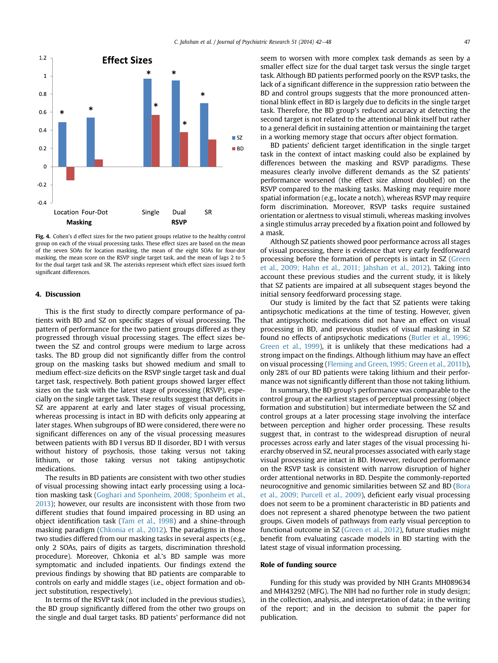<span id="page-5-0"></span>

Fig. 4. Cohen's d effect sizes for the two patient groups relative to the healthy control group on each of the visual processing tasks. These effect sizes are based on the mean of the seven SOAs for location masking, the mean of the eight SOAs for four-dot masking, the mean score on the RSVP single target task, and the mean of lags 2 to 5 for the dual target task and SR. The asterisks represent which effect sizes issued forth significant differences.

## 4. Discussion

This is the first study to directly compare performance of patients with BD and SZ on specific stages of visual processing. The pattern of performance for the two patient groups differed as they progressed through visual processing stages. The effect sizes between the SZ and control groups were medium to large across tasks. The BD group did not significantly differ from the control group on the masking tasks but showed medium and small to medium effect-size deficits on the RSVP single target task and dual target task, respectively. Both patient groups showed larger effect sizes on the task with the latest stage of processing (RSVP), especially on the single target task. These results suggest that deficits in SZ are apparent at early and later stages of visual processing, whereas processing is intact in BD with deficits only appearing at later stages. When subgroups of BD were considered, there were no significant differences on any of the visual processing measures between patients with BD I versus BD II disorder, BD I with versus without history of psychosis, those taking versus not taking lithium, or those taking versus not taking antipsychotic medications.

The results in BD patients are consistent with two other studies of visual processing showing intact early processing using a location masking task ([Goghari and Sponheim, 2008; Sponheim et al.,](#page-6-0) [2013\)](#page-6-0); however, our results are inconsistent with those from two different studies that found impaired processing in BD using an object identification task [\(Tam et al., 1998](#page-6-0)) and a shine-through masking paradigm [\(Chkonia et al., 2012](#page-6-0)). The paradigms in those two studies differed from our masking tasks in several aspects (e.g., only 2 SOAs, pairs of digits as targets, discrimination threshold procedure). Moreover, Chkonia et al.'s BD sample was more symptomatic and included inpatients. Our findings extend the previous findings by showing that BD patients are comparable to controls on early and middle stages (i.e., object formation and object substitution, respectively).

In terms of the RSVP task (not included in the previous studies), the BD group significantly differed from the other two groups on the single and dual target tasks. BD patients' performance did not seem to worsen with more complex task demands as seen by a smaller effect size for the dual target task versus the single target task. Although BD patients performed poorly on the RSVP tasks, the lack of a significant difference in the suppression ratio between the BD and control groups suggests that the more pronounced attentional blink effect in BD is largely due to deficits in the single target task. Therefore, the BD group's reduced accuracy at detecting the second target is not related to the attentional blink itself but rather to a general deficit in sustaining attention or maintaining the target in a working memory stage that occurs after object formation.

BD patients' deficient target identification in the single target task in the context of intact masking could also be explained by differences between the masking and RSVP paradigms. These measures clearly involve different demands as the SZ patients' performance worsened (the effect size almost doubled) on the RSVP compared to the masking tasks. Masking may require more spatial information (e.g., locate a notch), whereas RSVP may require form discrimination. Moreover, RSVP tasks require sustained orientation or alertness to visual stimuli, whereas masking involves a single stimulus array preceded by a fixation point and followed by a mask.

Although SZ patients showed poor performance across all stages of visual processing, there is evidence that very early feedforward processing before the formation of percepts is intact in SZ ([Green](#page-6-0) [et al., 2009; Hahn et al., 2011; Jahshan et al., 2012\)](#page-6-0). Taking into account these previous studies and the current study, it is likely that SZ patients are impaired at all subsequent stages beyond the initial sensory feedforward processing stage.

Our study is limited by the fact that SZ patients were taking antipsychotic medications at the time of testing. However, given that antipsychotic medications did not have an effect on visual processing in BD, and previous studies of visual masking in SZ found no effects of antipsychotic medications [\(Butler et al., 1996;](#page-6-0) [Green et al., 1999](#page-6-0)), it is unlikely that these medications had a strong impact on the findings. Although lithium may have an effect on visual processing ([Fleming and Green, 1995; Green et al., 2011b\)](#page-6-0), only 28% of our BD patients were taking lithium and their performance was not significantly different than those not taking lithium.

In summary, the BD group's performance was comparable to the control group at the earliest stages of perceptual processing (object formation and substitution) but intermediate between the SZ and control groups at a later processing stage involving the interface between perception and higher order processing. These results suggest that, in contrast to the widespread disruption of neural processes across early and later stages of the visual processing hierarchy observed in SZ, neural processes associated with early stage visual processing are intact in BD. However, reduced performance on the RSVP task is consistent with narrow disruption of higher order attentional networks in BD. Despite the commonly-reported neurocognitive and genomic similarities between SZ and BD [\(Bora](#page-6-0) [et al., 2009; Purcell et al., 2009](#page-6-0)), deficient early visual processing does not seem to be a prominent characteristic in BD patients and does not represent a shared phenotype between the two patient groups. Given models of pathways from early visual perception to functional outcome in SZ ([Green et al., 2012\)](#page-6-0), future studies might benefit from evaluating cascade models in BD starting with the latest stage of visual information processing.

#### Role of funding source

Funding for this study was provided by NIH Grants MH089634 and MH43292 (MFG). The NIH had no further role in study design; in the collection, analysis, and interpretation of data; in the writing of the report; and in the decision to submit the paper for publication.